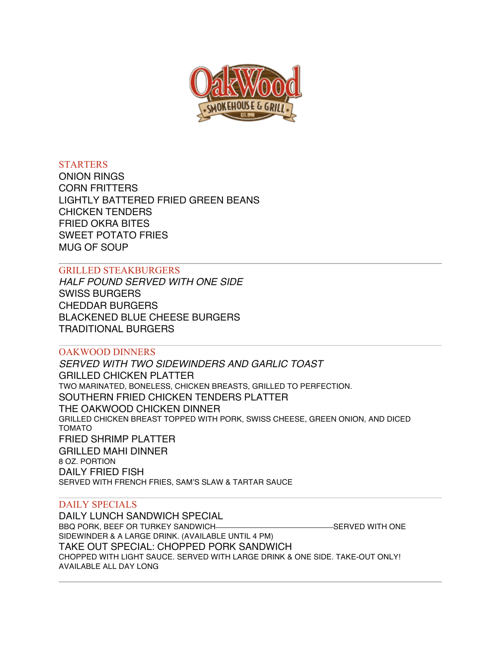

# **STARTERS**

ONION RINGS CORN FRITTERS LIGHTLY BATTERED FRIED GREEN BEANS CHICKEN TENDERS FRIED OKRA BITES SWEET POTATO FRIES MUG OF SOUP

# GRILLED STEAKBURGERS

*HALF POUND SERVED WITH ONE SIDE* SWISS BURGERS CHEDDAR BURGERS BLACKENED BLUE CHEESE BURGERS TRADITIONAL BURGERS

# OAKWOOD DINNERS

*SERVED WITH TWO SIDEWINDERS AND GARLIC TOAST* GRILLED CHICKEN PLATTER TWO MARINATED, BONELESS, CHICKEN BREASTS, GRILLED TO PERFECTION. SOUTHERN FRIED CHICKEN TENDERS PLATTER THE OAKWOOD CHICKEN DINNER GRILLED CHICKEN BREAST TOPPED WITH PORK, SWISS CHEESE, GREEN ONION, AND DICED TOMATO FRIED SHRIMP PLATTER GRILLED MAHI DINNER 8 OZ. PORTION DAILY FRIED FISH SERVED WITH FRENCH FRIES, SAM'S SLAW & TARTAR SAUCE

# DAILY SPECIALS

DAILY LUNCH SANDWICH SPECIAL BBQ PORK, BEEF OR TURKEY SANDWICH-**SERVED WITH ONE** SIDEWINDER & A LARGE DRINK. (AVAILABLE UNTIL 4 PM) TAKE OUT SPECIAL: CHOPPED PORK SANDWICH CHOPPED WITH LIGHT SAUCE. SERVED WITH LARGE DRINK & ONE SIDE. TAKE-OUT ONLY! AVAILABLE ALL DAY LONG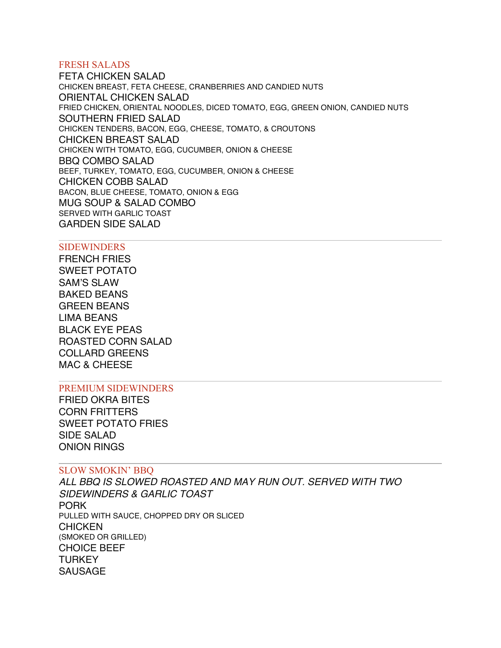## FRESH SALADS

FETA CHICKEN SALAD CHICKEN BREAST, FETA CHEESE, CRANBERRIES AND CANDIED NUTS ORIENTAL CHICKEN SALAD FRIED CHICKEN, ORIENTAL NOODLES, DICED TOMATO, EGG, GREEN ONION, CANDIED NUTS SOUTHERN FRIED SALAD CHICKEN TENDERS, BACON, EGG, CHEESE, TOMATO, & CROUTONS CHICKEN BREAST SALAD CHICKEN WITH TOMATO, EGG, CUCUMBER, ONION & CHEESE BBQ COMBO SALAD BEEF, TURKEY, TOMATO, EGG, CUCUMBER, ONION & CHEESE CHICKEN COBB SALAD BACON, BLUE CHEESE, TOMATO, ONION & EGG MUG SOUP & SALAD COMBO SERVED WITH GARLIC TOAST GARDEN SIDE SALAD

#### SIDEWINDERS

FRENCH FRIES SWEET POTATO SAM'S SLAW BAKED BEANS GREEN BEANS LIMA BEANS BLACK EYE PEAS ROASTED CORN SALAD COLLARD GREENS MAC & CHEESE

#### PREMIUM SIDEWINDERS

FRIED OKRA BITES CORN FRITTERS SWEET POTATO FRIES SIDE SALAD ONION RINGS

#### SLOW SMOKIN' BBQ

*ALL BBQ IS SLOWED ROASTED AND MAY RUN OUT. SERVED WITH TWO SIDEWINDERS & GARLIC TOAST* PORK PULLED WITH SAUCE, CHOPPED DRY OR SLICED **CHICKEN** (SMOKED OR GRILLED) CHOICE BEEF **TURKEY** SAUSAGE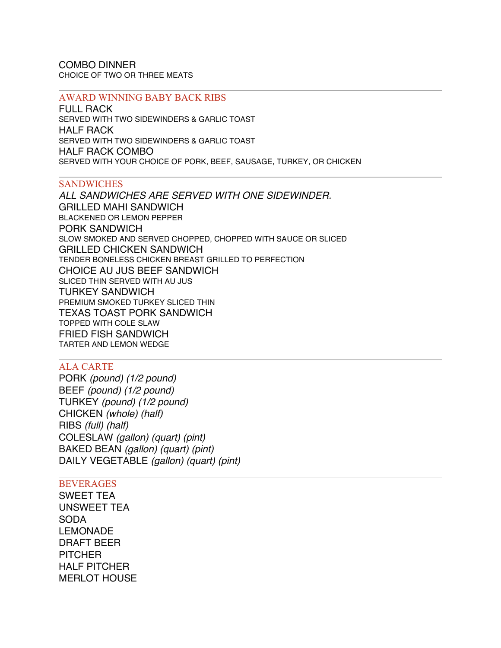COMBO DINNER CHOICE OF TWO OR THREE MEATS

#### AWARD WINNING BABY BACK RIBS

FULL RACK SERVED WITH TWO SIDEWINDERS & GARLIC TOAST HALF RACK SERVED WITH TWO SIDEWINDERS & GARLIC TOAST HALF RACK COMBO SERVED WITH YOUR CHOICE OF PORK, BEEF, SAUSAGE, TURKEY, OR CHICKEN

### **SANDWICHES**

*ALL SANDWICHES ARE SERVED WITH ONE SIDEWINDER.* GRILLED MAHI SANDWICH BLACKENED OR LEMON PEPPER PORK SANDWICH SLOW SMOKED AND SERVED CHOPPED, CHOPPED WITH SAUCE OR SLICED GRILLED CHICKEN SANDWICH TENDER BONELESS CHICKEN BREAST GRILLED TO PERFECTION CHOICE AU JUS BEEF SANDWICH SLICED THIN SERVED WITH AU JUS TURKEY SANDWICH PREMIUM SMOKED TURKEY SLICED THIN TEXAS TOAST PORK SANDWICH TOPPED WITH COLE SLAW FRIED FISH SANDWICH TARTER AND LEMON WEDGE

# ALA CARTE

PORK *(pound) (1/2 pound)* BEEF *(pound) (1/2 pound)* TURKEY *(pound) (1/2 pound)* CHICKEN *(whole) (half)* RIBS *(full) (half)* COLESLAW *(gallon) (quart) (pint)* BAKED BEAN *(gallon) (quart) (pint)* DAILY VEGETABLE *(gallon) (quart) (pint)*

#### **BEVERAGES**

SWEET TEA UNSWEET TEA SODA LEMONADE DRAFT BEER **PITCHER** HALF PITCHER MERLOT HOUSE